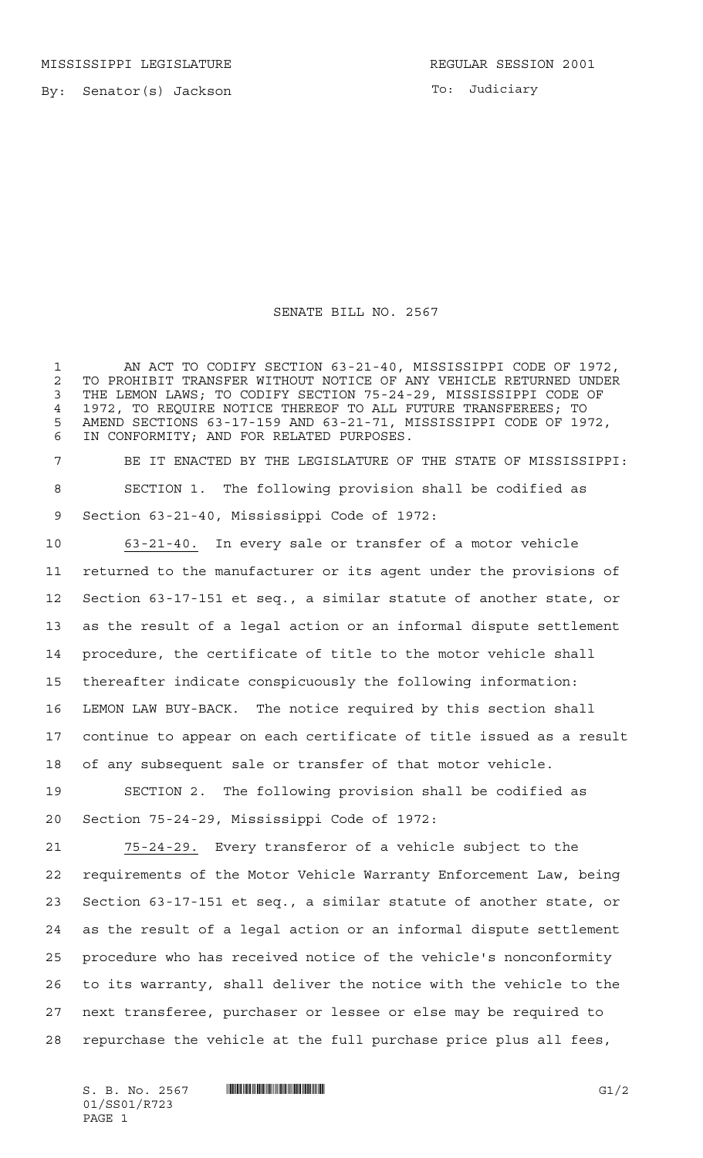MISSISSIPPI LEGISLATURE **REGULAR SESSION 2001** 

By: Senator(s) Jackson

To: Judiciary

## SENATE BILL NO. 2567

 AN ACT TO CODIFY SECTION 63-21-40, MISSISSIPPI CODE OF 1972, TO PROHIBIT TRANSFER WITHOUT NOTICE OF ANY VEHICLE RETURNED UNDER THE LEMON LAWS; TO CODIFY SECTION 75-24-29, MISSISSIPPI CODE OF 1972, TO REQUIRE NOTICE THEREOF TO ALL FUTURE TRANSFEREES; TO AMEND SECTIONS 63-17-159 AND 63-21-71, MISSISSIPPI CODE OF 1972, IN CONFORMITY; AND FOR RELATED PURPOSES.

 BE IT ENACTED BY THE LEGISLATURE OF THE STATE OF MISSISSIPPI: SECTION 1. The following provision shall be codified as Section 63-21-40, Mississippi Code of 1972:

 63-21-40. In every sale or transfer of a motor vehicle returned to the manufacturer or its agent under the provisions of Section 63-17-151 et seq., a similar statute of another state, or as the result of a legal action or an informal dispute settlement procedure, the certificate of title to the motor vehicle shall thereafter indicate conspicuously the following information: LEMON LAW BUY-BACK. The notice required by this section shall continue to appear on each certificate of title issued as a result of any subsequent sale or transfer of that motor vehicle.

 SECTION 2. The following provision shall be codified as Section 75-24-29, Mississippi Code of 1972:

 75-24-29. Every transferor of a vehicle subject to the requirements of the Motor Vehicle Warranty Enforcement Law, being Section 63-17-151 et seq., a similar statute of another state, or as the result of a legal action or an informal dispute settlement procedure who has received notice of the vehicle's nonconformity to its warranty, shall deliver the notice with the vehicle to the next transferee, purchaser or lessee or else may be required to repurchase the vehicle at the full purchase price plus all fees,

 $S. B. No. 2567$   $\qquad$   $\qquad$   $\qquad$   $\qquad$   $\qquad$   $\qquad$   $\qquad$   $\qquad$   $\qquad$   $\qquad$   $\qquad$   $\qquad$   $\qquad$   $\qquad$   $\qquad$   $\qquad$   $\qquad$   $\qquad$   $\qquad$   $\qquad$   $\qquad$   $\qquad$   $\qquad$   $\qquad$   $\qquad$   $\qquad$   $\qquad$   $\qquad$   $\qquad$   $\qquad$   $\qquad$   $\qquad$   $\qquad$   $\qquad$   $\q$ 01/SS01/R723 PAGE 1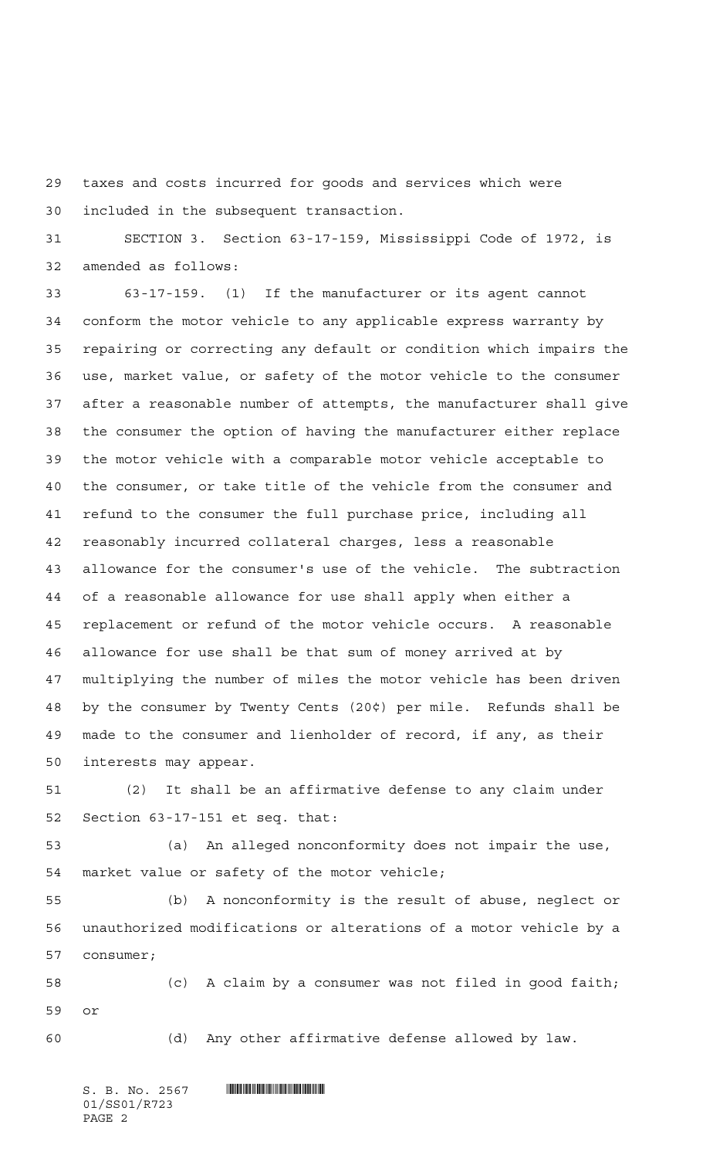taxes and costs incurred for goods and services which were included in the subsequent transaction.

 SECTION 3. Section 63-17-159, Mississippi Code of 1972, is amended as follows:

 63-17-159. (1) If the manufacturer or its agent cannot conform the motor vehicle to any applicable express warranty by repairing or correcting any default or condition which impairs the use, market value, or safety of the motor vehicle to the consumer after a reasonable number of attempts, the manufacturer shall give the consumer the option of having the manufacturer either replace the motor vehicle with a comparable motor vehicle acceptable to the consumer, or take title of the vehicle from the consumer and refund to the consumer the full purchase price, including all reasonably incurred collateral charges, less a reasonable allowance for the consumer's use of the vehicle. The subtraction of a reasonable allowance for use shall apply when either a replacement or refund of the motor vehicle occurs. A reasonable allowance for use shall be that sum of money arrived at by multiplying the number of miles the motor vehicle has been driven by the consumer by Twenty Cents (20¢) per mile. Refunds shall be made to the consumer and lienholder of record, if any, as their interests may appear.

 (2) It shall be an affirmative defense to any claim under Section 63-17-151 et seq. that:

 (a) An alleged nonconformity does not impair the use, market value or safety of the motor vehicle;

 (b) A nonconformity is the result of abuse, neglect or unauthorized modifications or alterations of a motor vehicle by a consumer;

 (c) A claim by a consumer was not filed in good faith; or

(d) Any other affirmative defense allowed by law.

 $S.$  B. No. 2567 **INNIFICATION CONTINUES.** 01/SS01/R723 PAGE 2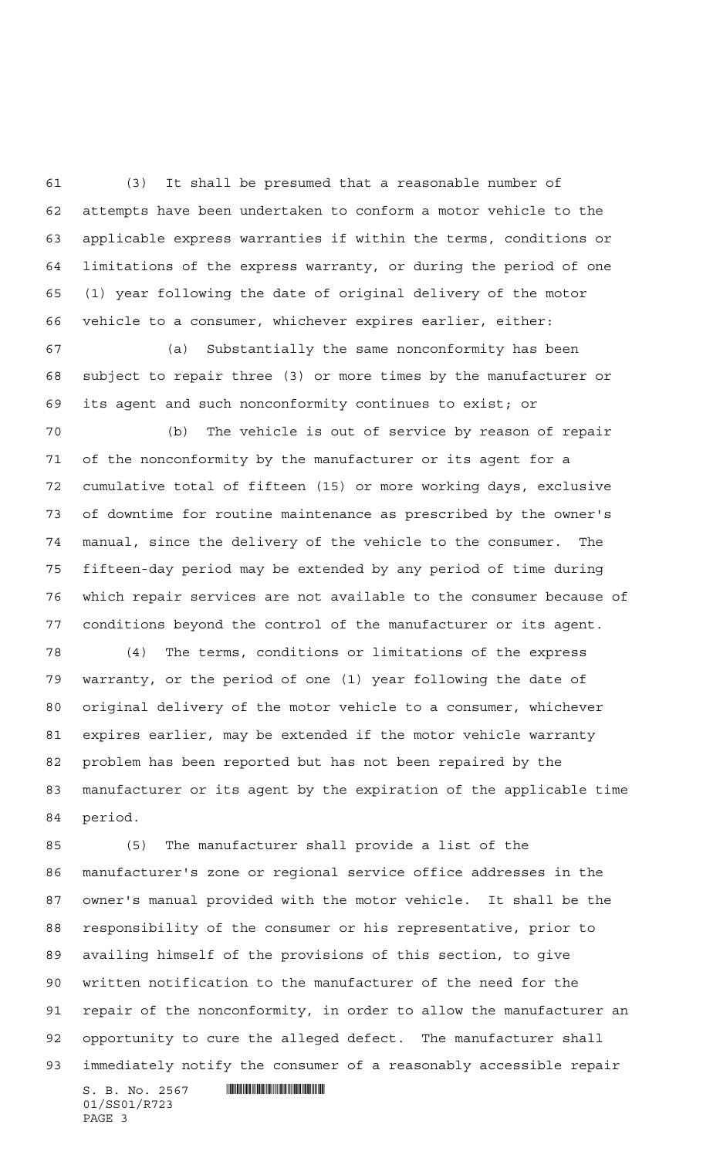(3) It shall be presumed that a reasonable number of attempts have been undertaken to conform a motor vehicle to the applicable express warranties if within the terms, conditions or limitations of the express warranty, or during the period of one (1) year following the date of original delivery of the motor vehicle to a consumer, whichever expires earlier, either:

 (a) Substantially the same nonconformity has been subject to repair three (3) or more times by the manufacturer or its agent and such nonconformity continues to exist; or

 (b) The vehicle is out of service by reason of repair of the nonconformity by the manufacturer or its agent for a cumulative total of fifteen (15) or more working days, exclusive of downtime for routine maintenance as prescribed by the owner's manual, since the delivery of the vehicle to the consumer. The fifteen-day period may be extended by any period of time during which repair services are not available to the consumer because of conditions beyond the control of the manufacturer or its agent.

 (4) The terms, conditions or limitations of the express warranty, or the period of one (1) year following the date of original delivery of the motor vehicle to a consumer, whichever expires earlier, may be extended if the motor vehicle warranty problem has been reported but has not been repaired by the manufacturer or its agent by the expiration of the applicable time period.

 $S. B. No. 2567$  . The set of the set of  $\mathbb{R}$  (5) The manufacturer shall provide a list of the manufacturer's zone or regional service office addresses in the owner's manual provided with the motor vehicle. It shall be the responsibility of the consumer or his representative, prior to availing himself of the provisions of this section, to give written notification to the manufacturer of the need for the repair of the nonconformity, in order to allow the manufacturer an opportunity to cure the alleged defect. The manufacturer shall immediately notify the consumer of a reasonably accessible repair

01/SS01/R723 PAGE 3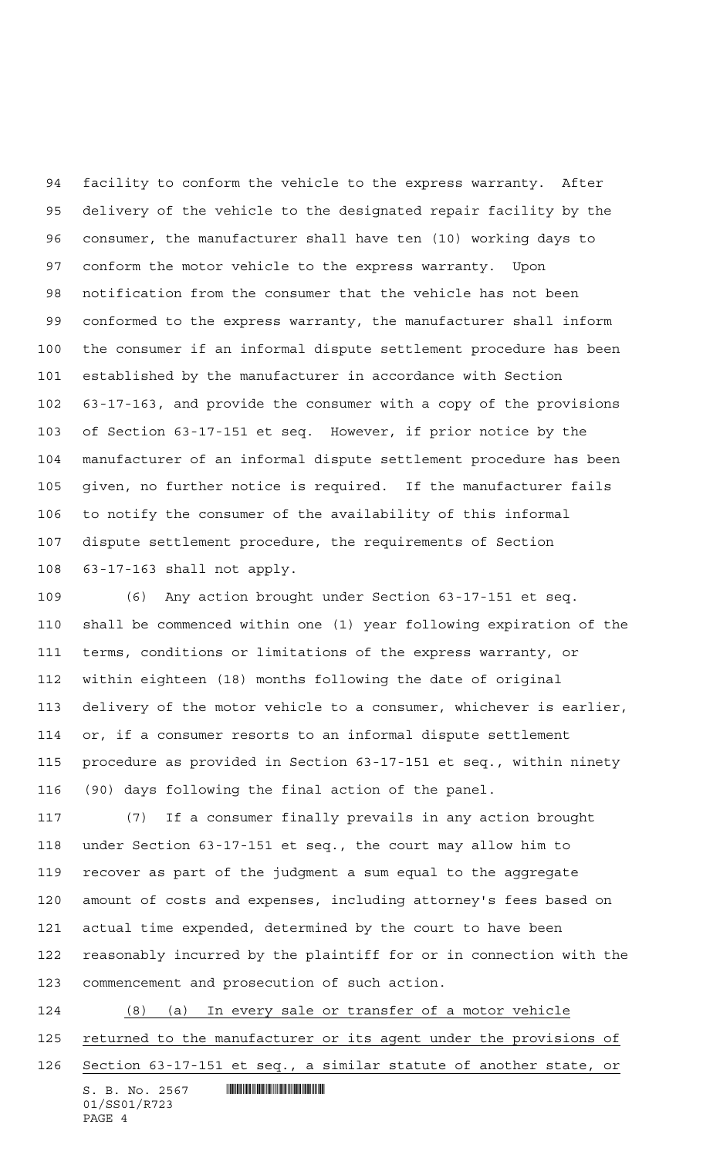facility to conform the vehicle to the express warranty. After delivery of the vehicle to the designated repair facility by the consumer, the manufacturer shall have ten (10) working days to conform the motor vehicle to the express warranty. Upon notification from the consumer that the vehicle has not been conformed to the express warranty, the manufacturer shall inform the consumer if an informal dispute settlement procedure has been established by the manufacturer in accordance with Section 63-17-163, and provide the consumer with a copy of the provisions of Section 63-17-151 et seq. However, if prior notice by the manufacturer of an informal dispute settlement procedure has been given, no further notice is required. If the manufacturer fails to notify the consumer of the availability of this informal dispute settlement procedure, the requirements of Section 63-17-163 shall not apply.

 (6) Any action brought under Section 63-17-151 et seq. shall be commenced within one (1) year following expiration of the terms, conditions or limitations of the express warranty, or within eighteen (18) months following the date of original delivery of the motor vehicle to a consumer, whichever is earlier, or, if a consumer resorts to an informal dispute settlement procedure as provided in Section 63-17-151 et seq., within ninety (90) days following the final action of the panel.

 (7) If a consumer finally prevails in any action brought under Section 63-17-151 et seq., the court may allow him to recover as part of the judgment a sum equal to the aggregate amount of costs and expenses, including attorney's fees based on actual time expended, determined by the court to have been reasonably incurred by the plaintiff for or in connection with the commencement and prosecution of such action.

 (8) (a) In every sale or transfer of a motor vehicle 125 returned to the manufacturer or its agent under the provisions of Section 63-17-151 et seq., a similar statute of another state, or

 $S. B. No. 2567$  . So the state of  $S. R$ 01/SS01/R723 PAGE 4